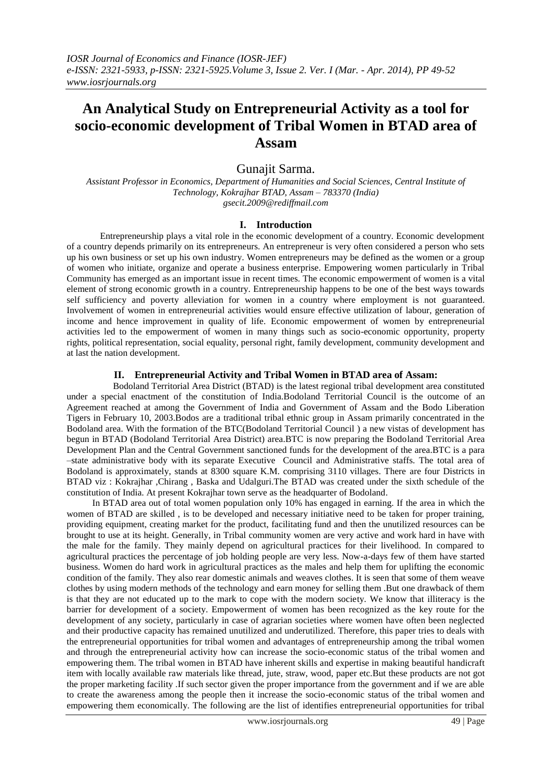# **An Analytical Study on Entrepreneurial Activity as a tool for socio-economic development of Tribal Women in BTAD area of Assam**

## Gunajit Sarma.

*Assistant Professor in Economics, Department of Humanities and Social Sciences, Central Institute of Technology, Kokrajhar BTAD, Assam – 783370 (India) gsecit.2009@rediffmail.com*

#### **I. Introduction**

Entrepreneurship plays a vital role in the economic development of a country. Economic development of a country depends primarily on its entrepreneurs. An entrepreneur is very often considered a person who sets up his own business or set up his own industry. Women entrepreneurs may be defined as the women or a group of women who initiate, organize and operate a business enterprise. Empowering women particularly in Tribal Community has emerged as an important issue in recent times. The economic empowerment of women is a vital element of strong economic growth in a country. Entrepreneurship happens to be one of the best ways towards self sufficiency and poverty alleviation for women in a country where employment is not guaranteed. Involvement of women in entrepreneurial activities would ensure effective utilization of labour, generation of income and hence improvement in quality of life. Economic empowerment of women by entrepreneurial activities led to the empowerment of women in many things such as socio-economic opportunity, property rights, political representation, social equality, personal right, family development, community development and at last the nation development.

### **II. Entrepreneurial Activity and Tribal Women in BTAD area of Assam:**

Bodoland Territorial Area District (BTAD) is the latest regional tribal development area constituted under a special enactment of the constitution of India.Bodoland Territorial Council is the outcome of an Agreement reached at among the Government of India and Government of Assam and the Bodo Liberation Tigers in February 10, 2003.Bodos are a traditional tribal ethnic group in Assam primarily concentrated in the Bodoland area. With the formation of the BTC(Bodoland Territorial Council ) a new vistas of development has begun in BTAD (Bodoland Territorial Area District) area.BTC is now preparing the Bodoland Territorial Area Development Plan and the Central Government sanctioned funds for the development of the area.BTC is a para –state administrative body with its separate Executive Council and Administrative staffs. The total area of Bodoland is approximately, stands at 8300 square K.M. comprising 3110 villages. There are four Districts in BTAD viz : Kokrajhar ,Chirang , Baska and Udalguri.The BTAD was created under the sixth schedule of the constitution of India. At present Kokrajhar town serve as the headquarter of Bodoland.

In BTAD area out of total women population only 10% has engaged in earning. If the area in which the women of BTAD are skilled , is to be developed and necessary initiative need to be taken for proper training, providing equipment, creating market for the product, facilitating fund and then the unutilized resources can be brought to use at its height. Generally, in Tribal community women are very active and work hard in have with the male for the family. They mainly depend on agricultural practices for their livelihood. In compared to agricultural practices the percentage of job holding people are very less. Now-a-days few of them have started business. Women do hard work in agricultural practices as the males and help them for uplifting the economic condition of the family. They also rear domestic animals and weaves clothes. It is seen that some of them weave clothes by using modern methods of the technology and earn money for selling them .But one drawback of them is that they are not educated up to the mark to cope with the modern society. We know that illiteracy is the barrier for development of a society. Empowerment of women has been recognized as the key route for the development of any society, particularly in case of agrarian societies where women have often been neglected and their productive capacity has remained unutilized and underutilized. Therefore, this paper tries to deals with the entrepreneurial opportunities for tribal women and advantages of entrepreneurship among the tribal women and through the entrepreneurial activity how can increase the socio-economic status of the tribal women and empowering them. The tribal women in BTAD have inherent skills and expertise in making beautiful handicraft item with locally available raw materials like thread, jute, straw, wood, paper etc.But these products are not got the proper marketing facility .If such sector given the proper importance from the government and if we are able to create the awareness among the people then it increase the socio-economic status of the tribal women and empowering them economically. The following are the list of identifies entrepreneurial opportunities for tribal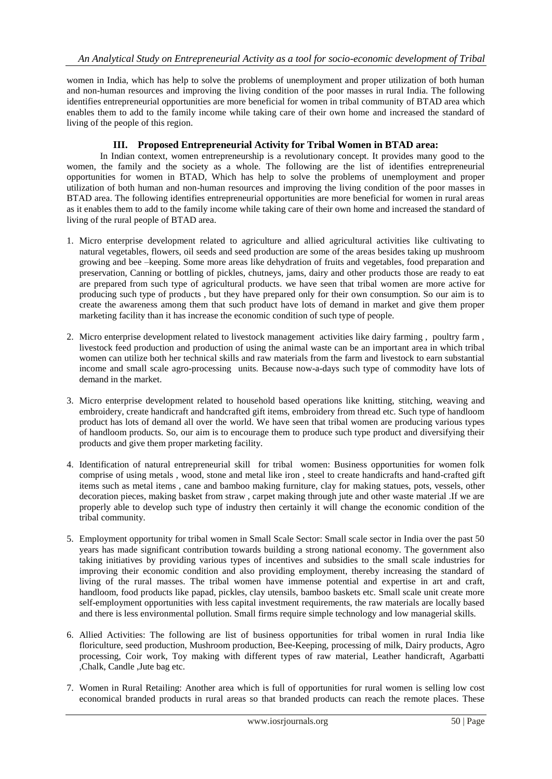women in India, which has help to solve the problems of unemployment and proper utilization of both human and non-human resources and improving the living condition of the poor masses in rural India. The following identifies entrepreneurial opportunities are more beneficial for women in tribal community of BTAD area which enables them to add to the family income while taking care of their own home and increased the standard of living of the people of this region.

## **III. Proposed Entrepreneurial Activity for Tribal Women in BTAD area:**

In Indian context, women entrepreneurship is a revolutionary concept. It provides many good to the women, the family and the society as a whole. The following are the list of identifies entrepreneurial opportunities for women in BTAD, Which has help to solve the problems of unemployment and proper utilization of both human and non-human resources and improving the living condition of the poor masses in BTAD area. The following identifies entrepreneurial opportunities are more beneficial for women in rural areas as it enables them to add to the family income while taking care of their own home and increased the standard of living of the rural people of BTAD area.

- 1. Micro enterprise development related to agriculture and allied agricultural activities like cultivating to natural vegetables, flowers, oil seeds and seed production are some of the areas besides taking up mushroom growing and bee –keeping. Some more areas like dehydration of fruits and vegetables, food preparation and preservation, Canning or bottling of pickles, chutneys, jams, dairy and other products those are ready to eat are prepared from such type of agricultural products. we have seen that tribal women are more active for producing such type of products , but they have prepared only for their own consumption. So our aim is to create the awareness among them that such product have lots of demand in market and give them proper marketing facility than it has increase the economic condition of such type of people.
- 2. Micro enterprise development related to livestock management activities like dairy farming , poultry farm , livestock feed production and production of using the animal waste can be an important area in which tribal women can utilize both her technical skills and raw materials from the farm and livestock to earn substantial income and small scale agro-processing units. Because now-a-days such type of commodity have lots of demand in the market.
- 3. Micro enterprise development related to household based operations like knitting, stitching, weaving and embroidery, create handicraft and handcrafted gift items, embroidery from thread etc. Such type of handloom product has lots of demand all over the world. We have seen that tribal women are producing various types of handloom products. So, our aim is to encourage them to produce such type product and diversifying their products and give them proper marketing facility.
- 4. Identification of natural entrepreneurial skill for tribal women: Business opportunities for women folk comprise of using metals , wood, stone and metal like iron , steel to create handicrafts and hand-crafted gift items such as metal items , cane and bamboo making furniture, clay for making statues, pots, vessels, other decoration pieces, making basket from straw , carpet making through jute and other waste material .If we are properly able to develop such type of industry then certainly it will change the economic condition of the tribal community.
- 5. Employment opportunity for tribal women in Small Scale Sector: Small scale sector in India over the past 50 years has made significant contribution towards building a strong national economy. The government also taking initiatives by providing various types of incentives and subsidies to the small scale industries for improving their economic condition and also providing employment, thereby increasing the standard of living of the rural masses. The tribal women have immense potential and expertise in art and craft, handloom, food products like papad, pickles, clay utensils, bamboo baskets etc. Small scale unit create more self-employment opportunities with less capital investment requirements, the raw materials are locally based and there is less environmental pollution. Small firms require simple technology and low managerial skills.
- 6. Allied Activities: The following are list of business opportunities for tribal women in rural India like floriculture, seed production, Mushroom production, Bee-Keeping, processing of milk, Dairy products, Agro processing, Coir work, Toy making with different types of raw material, Leather handicraft, Agarbatti ,Chalk, Candle ,Jute bag etc.
- 7. Women in Rural Retailing: Another area which is full of opportunities for rural women is selling low cost economical branded products in rural areas so that branded products can reach the remote places. These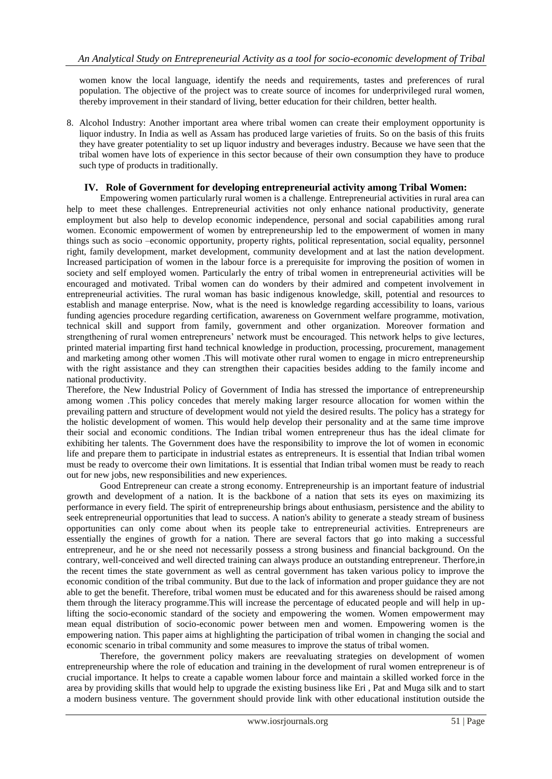women know the local language, identify the needs and requirements, tastes and preferences of rural population. The objective of the project was to create source of incomes for underprivileged rural women, thereby improvement in their standard of living, better education for their children, better health.

8. Alcohol Industry: Another important area where tribal women can create their employment opportunity is liquor industry. In India as well as Assam has produced large varieties of fruits. So on the basis of this fruits they have greater potentiality to set up liquor industry and beverages industry. Because we have seen that the tribal women have lots of experience in this sector because of their own consumption they have to produce such type of products in traditionally.

## **IV. Role of Government for developing entrepreneurial activity among Tribal Women:**

Empowering women particularly rural women is a challenge. Entrepreneurial activities in rural area can help to meet these challenges. Entrepreneurial activities not only enhance national productivity, generate employment but also help to develop economic independence, personal and social capabilities among rural women. Economic empowerment of women by entrepreneurship led to the empowerment of women in many things such as socio –economic opportunity, property rights, political representation, social equality, personnel right, family development, market development, community development and at last the nation development. Increased participation of women in the labour force is a prerequisite for improving the position of women in society and self employed women. Particularly the entry of tribal women in entrepreneurial activities will be encouraged and motivated. Tribal women can do wonders by their admired and competent involvement in entrepreneurial activities. The rural woman has basic indigenous knowledge, skill, potential and resources to establish and manage enterprise. Now, what is the need is knowledge regarding accessibility to loans, various funding agencies procedure regarding certification, awareness on Government welfare programme, motivation, technical skill and support from family, government and other organization. Moreover formation and strengthening of rural women entrepreneurs' network must be encouraged. This network helps to give lectures, printed material imparting first hand technical knowledge in production, processing, procurement, management and marketing among other women .This will motivate other rural women to engage in micro entrepreneurship with the right assistance and they can strengthen their capacities besides adding to the family income and national productivity.

Therefore, the New Industrial Policy of Government of India has stressed the importance of entrepreneurship among women .This policy concedes that merely making larger resource allocation for women within the prevailing pattern and structure of development would not yield the desired results. The policy has a strategy for the holistic development of women. This would help develop their personality and at the same time improve their social and economic conditions. The Indian tribal women entrepreneur thus has the ideal climate for exhibiting her talents. The Government does have the responsibility to improve the lot of women in economic life and prepare them to participate in industrial estates as entrepreneurs. It is essential that Indian tribal women must be ready to overcome their own limitations. It is essential that Indian tribal women must be ready to reach out for new jobs, new responsibilities and new experiences.

Good Entrepreneur can create a strong economy. Entrepreneurship is an important feature of industrial growth and development of a nation. It is the backbone of a nation that sets its eyes on maximizing its performance in every field. The spirit of entrepreneurship brings about enthusiasm, persistence and the ability to seek entrepreneurial opportunities that lead to success. A nation's ability to generate a steady stream of business opportunities can only come about when its people take to entrepreneurial activities. Entrepreneurs are essentially the engines of growth for a nation. There are several factors that go into making a successful entrepreneur, and he or she need not necessarily possess a strong business and financial background. On the contrary, well-conceived and well directed training can always produce an outstanding entrepreneur. Therfore,in the recent times the state government as well as central government has taken various policy to improve the economic condition of the tribal community. But due to the lack of information and proper guidance they are not able to get the benefit. Therefore, tribal women must be educated and for this awareness should be raised among them through the literacy programme.This will increase the percentage of educated people and will help in uplifting the socio-economic standard of the society and empowering the women. Women empowerment may mean equal distribution of socio-economic power between men and women. Empowering women is the empowering nation. This paper aims at highlighting the participation of tribal women in changing the social and economic scenario in tribal community and some measures to improve the status of tribal women.

Therefore, the government policy makers are reevaluating strategies on development of women entrepreneurship where the role of education and training in the development of rural women entrepreneur is of crucial importance. It helps to create a capable women labour force and maintain a skilled worked force in the area by providing skills that would help to upgrade the existing business like Eri , Pat and Muga silk and to start a modern business venture. The government should provide link with other educational institution outside the